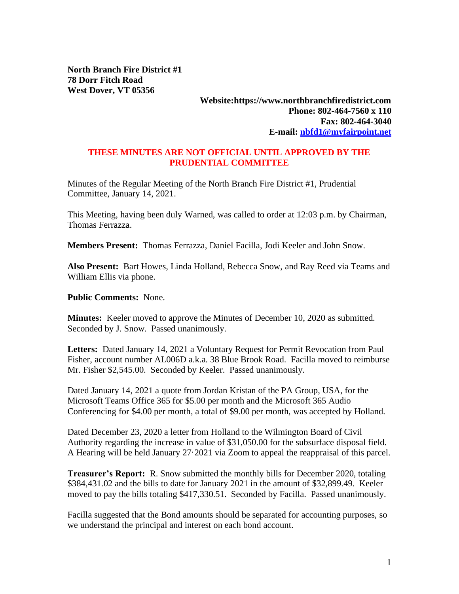**North Branch Fire District #1 78 Dorr Fitch Road West Dover, VT 05356**

## **Website:https://www.northbranchfiredistrict.com Phone: 802-464-7560 x 110 Fax: 802-464-3040 E-mail: [nbfd1@myfairpoint.net](mailto:nbfd1@myfairpoint.net)**

## **THESE MINUTES ARE NOT OFFICIAL UNTIL APPROVED BY THE PRUDENTIAL COMMITTEE**

Minutes of the Regular Meeting of the North Branch Fire District #1, Prudential Committee, January 14, 2021.

This Meeting, having been duly Warned, was called to order at 12:03 p.m. by Chairman, Thomas Ferrazza.

**Members Present:** Thomas Ferrazza, Daniel Facilla, Jodi Keeler and John Snow.

**Also Present:** Bart Howes, Linda Holland, Rebecca Snow, and Ray Reed via Teams and William Ellis via phone.

**Public Comments:** None.

**Minutes:** Keeler moved to approve the Minutes of December 10, 2020 as submitted. Seconded by J. Snow. Passed unanimously.

**Letters:** Dated January 14, 2021 a Voluntary Request for Permit Revocation from Paul Fisher, account number AL006D a.k.a. 38 Blue Brook Road. Facilla moved to reimburse Mr. Fisher \$2,545.00. Seconded by Keeler. Passed unanimously.

Dated January 14, 2021 a quote from Jordan Kristan of the PA Group, USA, for the Microsoft Teams Office 365 for \$5.00 per month and the Microsoft 365 Audio Conferencing for \$4.00 per month, a total of \$9.00 per month, was accepted by Holland.

Dated December 23, 2020 a letter from Holland to the Wilmington Board of Civil Authority regarding the increase in value of \$31,050.00 for the subsurface disposal field. A Hearing will be held January 27, 2021 via Zoom to appeal the reappraisal of this parcel.

**Treasurer's Report:** R. Snow submitted the monthly bills for December 2020, totaling \$384,431.02 and the bills to date for January 2021 in the amount of \$32,899.49. Keeler moved to pay the bills totaling \$417,330.51. Seconded by Facilla. Passed unanimously.

Facilla suggested that the Bond amounts should be separated for accounting purposes, so we understand the principal and interest on each bond account.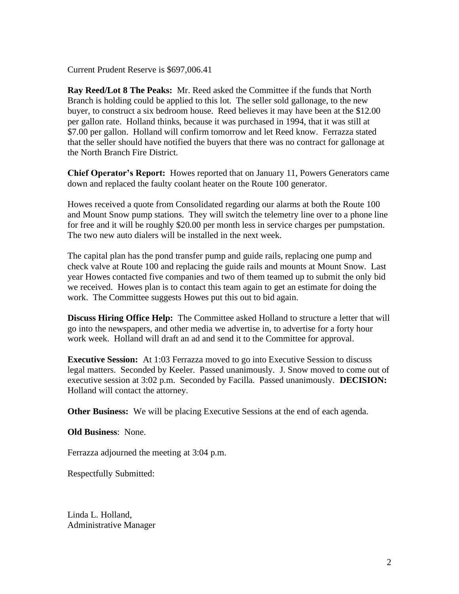Current Prudent Reserve is \$697,006.41

**Ray Reed/Lot 8 The Peaks:** Mr. Reed asked the Committee if the funds that North Branch is holding could be applied to this lot. The seller sold gallonage, to the new buyer, to construct a six bedroom house. Reed believes it may have been at the \$12.00 per gallon rate. Holland thinks, because it was purchased in 1994, that it was still at \$7.00 per gallon. Holland will confirm tomorrow and let Reed know. Ferrazza stated that the seller should have notified the buyers that there was no contract for gallonage at the North Branch Fire District.

**Chief Operator's Report:** Howes reported that on January 11, Powers Generators came down and replaced the faulty coolant heater on the Route 100 generator.

Howes received a quote from Consolidated regarding our alarms at both the Route 100 and Mount Snow pump stations. They will switch the telemetry line over to a phone line for free and it will be roughly \$20.00 per month less in service charges per pumpstation. The two new auto dialers will be installed in the next week.

The capital plan has the pond transfer pump and guide rails, replacing one pump and check valve at Route 100 and replacing the guide rails and mounts at Mount Snow. Last year Howes contacted five companies and two of them teamed up to submit the only bid we received. Howes plan is to contact this team again to get an estimate for doing the work. The Committee suggests Howes put this out to bid again.

**Discuss Hiring Office Help:** The Committee asked Holland to structure a letter that will go into the newspapers, and other media we advertise in, to advertise for a forty hour work week. Holland will draft an ad and send it to the Committee for approval.

**Executive Session:** At 1:03 Ferrazza moved to go into Executive Session to discuss legal matters. Seconded by Keeler. Passed unanimously. J. Snow moved to come out of executive session at 3:02 p.m. Seconded by Facilla. Passed unanimously. **DECISION:**  Holland will contact the attorney.

**Other Business:** We will be placing Executive Sessions at the end of each agenda.

**Old Business**: None.

Ferrazza adjourned the meeting at 3:04 p.m.

Respectfully Submitted:

Linda L. Holland, Administrative Manager